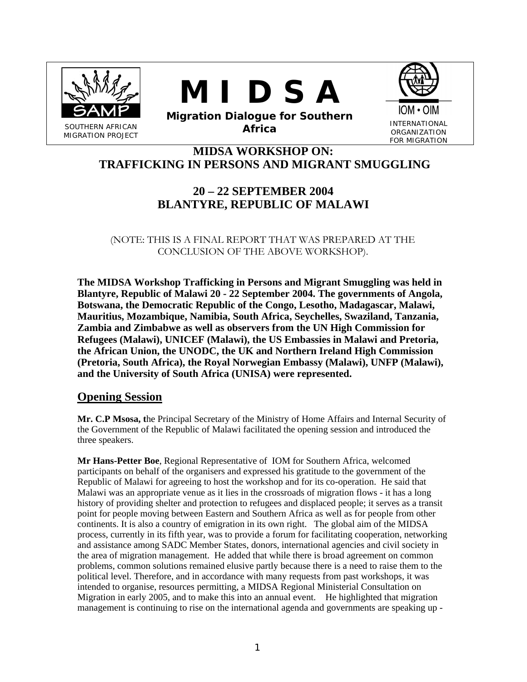





**Migration Dialogue for Southern Africa INTERNATIONAL**<br>**Africa CREANIZATION** 

ORGANIZATION FOR MIGRATION

# **MIDSA WORKSHOP ON: TRAFFICKING IN PERSONS AND MIGRANT SMUGGLING**

# **20 – 22 SEPTEMBER 2004 BLANTYRE, REPUBLIC OF MALAWI**

(NOTE: THIS IS A FINAL REPORT THAT WAS PREPARED AT THE CONCLUSION OF THE ABOVE WORKSHOP).

**The MIDSA Workshop Trafficking in Persons and Migrant Smuggling was held in Blantyre, Republic of Malawi 20 - 22 September 2004. The governments of Angola, Botswana, the Democratic Republic of the Congo, Lesotho, Madagascar, Malawi, Mauritius, Mozambique, Namibia, South Africa, Seychelles, Swaziland, Tanzania, Zambia and Zimbabwe as well as observers from the UN High Commission for Refugees (Malawi), UNICEF (Malawi), the US Embassies in Malawi and Pretoria, the African Union, the UNODC, the UK and Northern Ireland High Commission (Pretoria, South Africa), the Royal Norwegian Embassy (Malawi), UNFP (Malawi), and the University of South Africa (UNISA) were represented.** 

## **Opening Session**

**Mr. C.P Msosa, t**he Principal Secretary of the Ministry of Home Affairs and Internal Security of the Government of the Republic of Malawi facilitated the opening session and introduced the three speakers.

**Mr Hans-Petter Boe**, Regional Representative of IOM for Southern Africa, welcomed participants on behalf of the organisers and expressed his gratitude to the government of the Republic of Malawi for agreeing to host the workshop and for its co-operation. He said that Malawi was an appropriate venue as it lies in the crossroads of migration flows - it has a long history of providing shelter and protection to refugees and displaced people; it serves as a transit point for people moving between Eastern and Southern Africa as well as for people from other continents. It is also a country of emigration in its own right. The global aim of the MIDSA process, currently in its fifth year, was to provide a forum for facilitating cooperation, networking and assistance among SADC Member States, donors, international agencies and civil society in the area of migration management. He added that while there is broad agreement on common problems, common solutions remained elusive partly because there is a need to raise them to the political level. Therefore, and in accordance with many requests from past workshops, it was intended to organise, resources permitting, a MIDSA Regional Ministerial Consultation on Migration in early 2005, and to make this into an annual event. He highlighted that migration management is continuing to rise on the international agenda and governments are speaking up -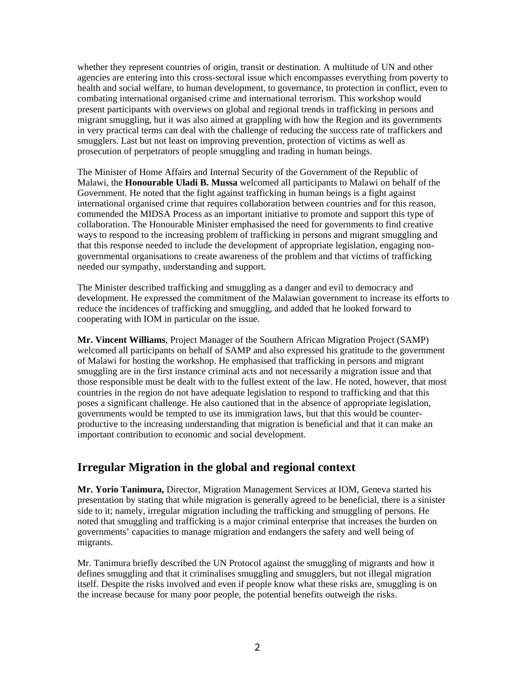whether they represent countries of origin, transit or destination. A multitude of UN and other agencies are entering into this cross-sectoral issue which encompasses everything from poverty to health and social welfare, to human development, to governance, to protection in conflict, even to combating international organised crime and international terrorism. This workshop would present participants with overviews on global and regional trends in trafficking in persons and migrant smuggling, but it was also aimed at grappling with how the Region and its governments in very practical terms can deal with the challenge of reducing the success rate of traffickers and smugglers. Last but not least on improving prevention, protection of victims as well as prosecution of perpetrators of people smuggling and trading in human beings.

The Minister of Home Affairs and Internal Security of the Government of the Republic of Malawi, the **Honourable Uladi B. Mussa** welcomed all participants to Malawi on behalf of the Government. He noted that the fight against trafficking in human beings is a fight against international organised crime that requires collaboration between countries and for this reason, commended the MIDSA Process as an important initiative to promote and support this type of collaboration. The Honourable Minister emphasised the need for governments to find creative ways to respond to the increasing problem of trafficking in persons and migrant smuggling and that this response needed to include the development of appropriate legislation, engaging nongovernmental organisations to create awareness of the problem and that victims of trafficking needed our sympathy, understanding and support.

The Minister described trafficking and smuggling as a danger and evil to democracy and development. He expressed the commitment of the Malawian government to increase its efforts to reduce the incidences of trafficking and smuggling, and added that he looked forward to cooperating with IOM in particular on the issue.

**Mr. Vincent Williams**, Project Manager of the Southern African Migration Project (SAMP) welcomed all participants on behalf of SAMP and also expressed his gratitude to the government of Malawi for hosting the workshop. He emphasised that trafficking in persons and migrant smuggling are in the first instance criminal acts and not necessarily a migration issue and that those responsible must be dealt with to the fullest extent of the law. He noted, however, that most countries in the region do not have adequate legislation to respond to trafficking and that this poses a significant challenge. He also cautioned that in the absence of appropriate legislation, governments would be tempted to use its immigration laws, but that this would be counterproductive to the increasing understanding that migration is beneficial and that it can make an important contribution to economic and social development.

## **Irregular Migration in the global and regional context**

**Mr. Yorio Tanimura,** Director, Migration Management Services at IOM, Geneva started his presentation by stating that while migration is generally agreed to be beneficial, there is a sinister side to it; namely, irregular migration including the trafficking and smuggling of persons. He noted that smuggling and trafficking is a major criminal enterprise that increases the burden on governments' capacities to manage migration and endangers the safety and well being of migrants.

Mr. Tanimura briefly described the UN Protocol against the smuggling of migrants and how it defines smuggling and that it criminalises smuggling and smugglers, but not illegal migration itself. Despite the risks involved and even if people know what these risks are, smuggling is on the increase because for many poor people, the potential benefits outweigh the risks.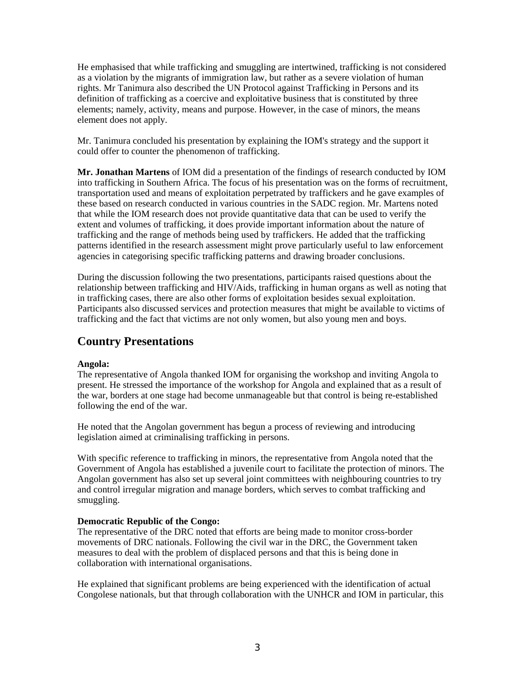He emphasised that while trafficking and smuggling are intertwined, trafficking is not considered as a violation by the migrants of immigration law, but rather as a severe violation of human rights. Mr Tanimura also described the UN Protocol against Trafficking in Persons and its definition of trafficking as a coercive and exploitative business that is constituted by three elements; namely, activity, means and purpose. However, in the case of minors, the means element does not apply.

Mr. Tanimura concluded his presentation by explaining the IOM's strategy and the support it could offer to counter the phenomenon of trafficking.

**Mr. Jonathan Martens** of IOM did a presentation of the findings of research conducted by IOM into trafficking in Southern Africa. The focus of his presentation was on the forms of recruitment, transportation used and means of exploitation perpetrated by traffickers and he gave examples of these based on research conducted in various countries in the SADC region. Mr. Martens noted that while the IOM research does not provide quantitative data that can be used to verify the extent and volumes of trafficking, it does provide important information about the nature of trafficking and the range of methods being used by traffickers. He added that the trafficking patterns identified in the research assessment might prove particularly useful to law enforcement agencies in categorising specific trafficking patterns and drawing broader conclusions.

During the discussion following the two presentations, participants raised questions about the relationship between trafficking and HIV/Aids, trafficking in human organs as well as noting that in trafficking cases, there are also other forms of exploitation besides sexual exploitation. Participants also discussed services and protection measures that might be available to victims of trafficking and the fact that victims are not only women, but also young men and boys.

## **Country Presentations**

#### **Angola:**

The representative of Angola thanked IOM for organising the workshop and inviting Angola to present. He stressed the importance of the workshop for Angola and explained that as a result of the war, borders at one stage had become unmanageable but that control is being re-established following the end of the war.

He noted that the Angolan government has begun a process of reviewing and introducing legislation aimed at criminalising trafficking in persons.

With specific reference to trafficking in minors, the representative from Angola noted that the Government of Angola has established a juvenile court to facilitate the protection of minors. The Angolan government has also set up several joint committees with neighbouring countries to try and control irregular migration and manage borders, which serves to combat trafficking and smuggling.

#### **Democratic Republic of the Congo:**

The representative of the DRC noted that efforts are being made to monitor cross-border movements of DRC nationals. Following the civil war in the DRC, the Government taken measures to deal with the problem of displaced persons and that this is being done in collaboration with international organisations.

He explained that significant problems are being experienced with the identification of actual Congolese nationals, but that through collaboration with the UNHCR and IOM in particular, this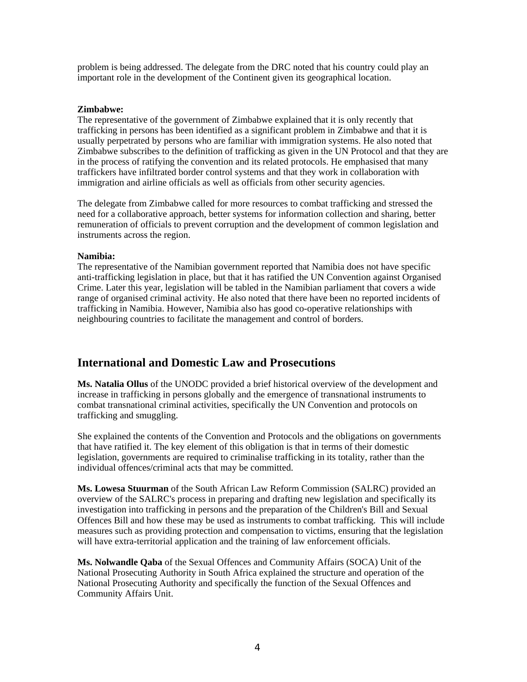problem is being addressed. The delegate from the DRC noted that his country could play an important role in the development of the Continent given its geographical location.

#### **Zimbabwe:**

The representative of the government of Zimbabwe explained that it is only recently that trafficking in persons has been identified as a significant problem in Zimbabwe and that it is usually perpetrated by persons who are familiar with immigration systems. He also noted that Zimbabwe subscribes to the definition of trafficking as given in the UN Protocol and that they are in the process of ratifying the convention and its related protocols. He emphasised that many traffickers have infiltrated border control systems and that they work in collaboration with immigration and airline officials as well as officials from other security agencies.

The delegate from Zimbabwe called for more resources to combat trafficking and stressed the need for a collaborative approach, better systems for information collection and sharing, better remuneration of officials to prevent corruption and the development of common legislation and instruments across the region.

#### **Namibia:**

The representative of the Namibian government reported that Namibia does not have specific anti-trafficking legislation in place, but that it has ratified the UN Convention against Organised Crime. Later this year, legislation will be tabled in the Namibian parliament that covers a wide range of organised criminal activity. He also noted that there have been no reported incidents of trafficking in Namibia. However, Namibia also has good co-operative relationships with neighbouring countries to facilitate the management and control of borders.

## **International and Domestic Law and Prosecutions**

**Ms. Natalia Ollus** of the UNODC provided a brief historical overview of the development and increase in trafficking in persons globally and the emergence of transnational instruments to combat transnational criminal activities, specifically the UN Convention and protocols on trafficking and smuggling.

She explained the contents of the Convention and Protocols and the obligations on governments that have ratified it. The key element of this obligation is that in terms of their domestic legislation, governments are required to criminalise trafficking in its totality, rather than the individual offences/criminal acts that may be committed.

**Ms. Lowesa Stuurman** of the South African Law Reform Commission (SALRC) provided an overview of the SALRC's process in preparing and drafting new legislation and specifically its investigation into trafficking in persons and the preparation of the Children's Bill and Sexual Offences Bill and how these may be used as instruments to combat trafficking. This will include measures such as providing protection and compensation to victims, ensuring that the legislation will have extra-territorial application and the training of law enforcement officials.

**Ms. Nolwandle Qaba** of the Sexual Offences and Community Affairs (SOCA) Unit of the National Prosecuting Authority in South Africa explained the structure and operation of the National Prosecuting Authority and specifically the function of the Sexual Offences and Community Affairs Unit.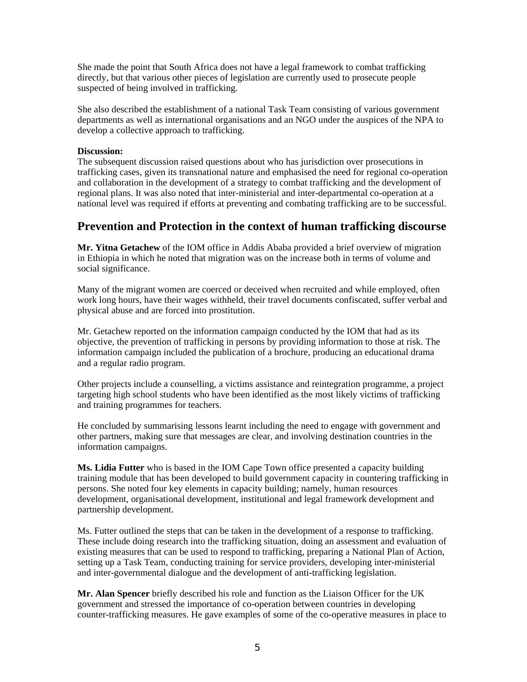She made the point that South Africa does not have a legal framework to combat trafficking directly, but that various other pieces of legislation are currently used to prosecute people suspected of being involved in trafficking.

She also described the establishment of a national Task Team consisting of various government departments as well as international organisations and an NGO under the auspices of the NPA to develop a collective approach to trafficking.

#### **Discussion:**

The subsequent discussion raised questions about who has jurisdiction over prosecutions in trafficking cases, given its transnational nature and emphasised the need for regional co-operation and collaboration in the development of a strategy to combat trafficking and the development of regional plans. It was also noted that inter-ministerial and inter-departmental co-operation at a national level was required if efforts at preventing and combating trafficking are to be successful.

### **Prevention and Protection in the context of human trafficking discourse**

**Mr. Yitna Getachew** of the IOM office in Addis Ababa provided a brief overview of migration in Ethiopia in which he noted that migration was on the increase both in terms of volume and social significance.

Many of the migrant women are coerced or deceived when recruited and while employed, often work long hours, have their wages withheld, their travel documents confiscated, suffer verbal and physical abuse and are forced into prostitution.

Mr. Getachew reported on the information campaign conducted by the IOM that had as its objective, the prevention of trafficking in persons by providing information to those at risk. The information campaign included the publication of a brochure, producing an educational drama and a regular radio program.

Other projects include a counselling, a victims assistance and reintegration programme, a project targeting high school students who have been identified as the most likely victims of trafficking and training programmes for teachers.

He concluded by summarising lessons learnt including the need to engage with government and other partners, making sure that messages are clear, and involving destination countries in the information campaigns.

**Ms. Lidia Futter** who is based in the IOM Cape Town office presented a capacity building training module that has been developed to build government capacity in countering trafficking in persons. She noted four key elements in capacity building; namely, human resources development, organisational development, institutional and legal framework development and partnership development.

Ms. Futter outlined the steps that can be taken in the development of a response to trafficking. These include doing research into the trafficking situation, doing an assessment and evaluation of existing measures that can be used to respond to trafficking, preparing a National Plan of Action, setting up a Task Team, conducting training for service providers, developing inter-ministerial and inter-governmental dialogue and the development of anti-trafficking legislation.

**Mr. Alan Spencer** briefly described his role and function as the Liaison Officer for the UK government and stressed the importance of co-operation between countries in developing counter-trafficking measures. He gave examples of some of the co-operative measures in place to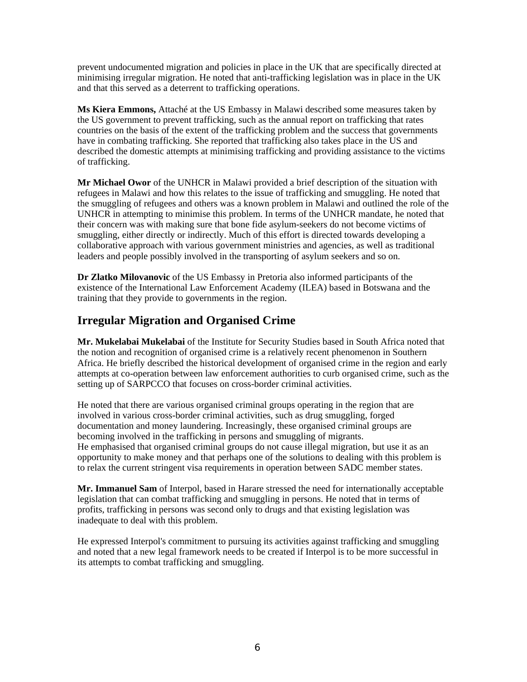prevent undocumented migration and policies in place in the UK that are specifically directed at minimising irregular migration. He noted that anti-trafficking legislation was in place in the UK and that this served as a deterrent to trafficking operations.

**Ms Kiera Emmons,** Attaché at the US Embassy in Malawi described some measures taken by the US government to prevent trafficking, such as the annual report on trafficking that rates countries on the basis of the extent of the trafficking problem and the success that governments have in combating trafficking. She reported that trafficking also takes place in the US and described the domestic attempts at minimising trafficking and providing assistance to the victims of trafficking.

**Mr Michael Owor** of the UNHCR in Malawi provided a brief description of the situation with refugees in Malawi and how this relates to the issue of trafficking and smuggling. He noted that the smuggling of refugees and others was a known problem in Malawi and outlined the role of the UNHCR in attempting to minimise this problem. In terms of the UNHCR mandate, he noted that their concern was with making sure that bone fide asylum-seekers do not become victims of smuggling, either directly or indirectly. Much of this effort is directed towards developing a collaborative approach with various government ministries and agencies, as well as traditional leaders and people possibly involved in the transporting of asylum seekers and so on.

**Dr Zlatko Milovanovic** of the US Embassy in Pretoria also informed participants of the existence of the International Law Enforcement Academy (ILEA) based in Botswana and the training that they provide to governments in the region.

# **Irregular Migration and Organised Crime**

**Mr. Mukelabai Mukelabai** of the Institute for Security Studies based in South Africa noted that the notion and recognition of organised crime is a relatively recent phenomenon in Southern Africa. He briefly described the historical development of organised crime in the region and early attempts at co-operation between law enforcement authorities to curb organised crime, such as the setting up of SARPCCO that focuses on cross-border criminal activities.

He noted that there are various organised criminal groups operating in the region that are involved in various cross-border criminal activities, such as drug smuggling, forged documentation and money laundering. Increasingly, these organised criminal groups are becoming involved in the trafficking in persons and smuggling of migrants. He emphasised that organised criminal groups do not cause illegal migration, but use it as an opportunity to make money and that perhaps one of the solutions to dealing with this problem is to relax the current stringent visa requirements in operation between SADC member states.

**Mr. Immanuel Sam** of Interpol, based in Harare stressed the need for internationally acceptable legislation that can combat trafficking and smuggling in persons. He noted that in terms of profits, trafficking in persons was second only to drugs and that existing legislation was inadequate to deal with this problem.

He expressed Interpol's commitment to pursuing its activities against trafficking and smuggling and noted that a new legal framework needs to be created if Interpol is to be more successful in its attempts to combat trafficking and smuggling.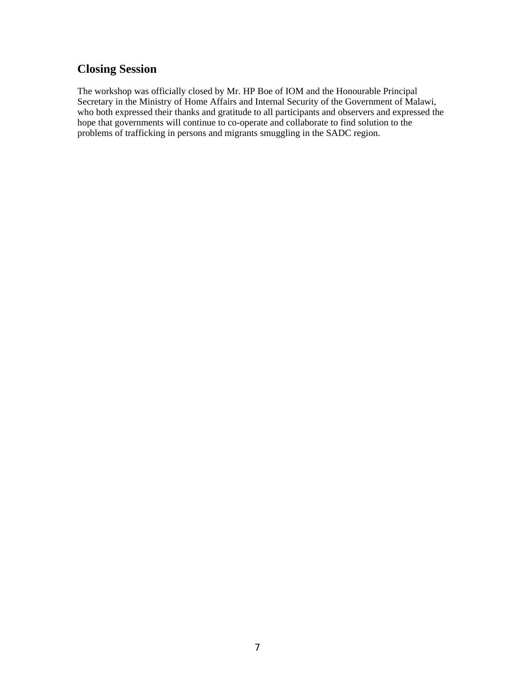# **Closing Session**

The workshop was officially closed by Mr. HP Boe of IOM and the Honourable Principal Secretary in the Ministry of Home Affairs and Internal Security of the Government of Malawi, who both expressed their thanks and gratitude to all participants and observers and expressed the hope that governments will continue to co-operate and collaborate to find solution to the problems of trafficking in persons and migrants smuggling in the SADC region.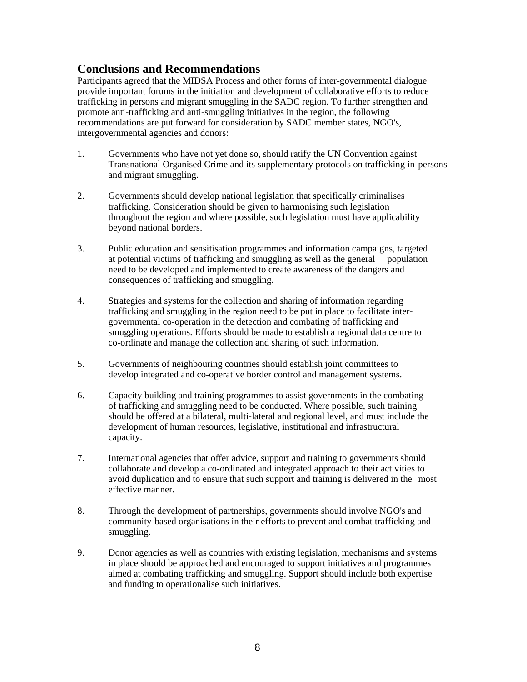# **Conclusions and Recommendations**

Participants agreed that the MIDSA Process and other forms of inter-governmental dialogue provide important forums in the initiation and development of collaborative efforts to reduce trafficking in persons and migrant smuggling in the SADC region. To further strengthen and promote anti-trafficking and anti-smuggling initiatives in the region, the following recommendations are put forward for consideration by SADC member states, NGO's, intergovernmental agencies and donors:

- 1. Governments who have not yet done so, should ratify the UN Convention against Transnational Organised Crime and its supplementary protocols on trafficking in persons and migrant smuggling.
- 2. Governments should develop national legislation that specifically criminalises trafficking. Consideration should be given to harmonising such legislation throughout the region and where possible, such legislation must have applicability beyond national borders.
- 3. Public education and sensitisation programmes and information campaigns, targeted at potential victims of trafficking and smuggling as well as the general population need to be developed and implemented to create awareness of the dangers and consequences of trafficking and smuggling.
- 4. Strategies and systems for the collection and sharing of information regarding trafficking and smuggling in the region need to be put in place to facilitate intergovernmental co-operation in the detection and combating of trafficking and smuggling operations. Efforts should be made to establish a regional data centre to co-ordinate and manage the collection and sharing of such information.
- 5. Governments of neighbouring countries should establish joint committees to develop integrated and co-operative border control and management systems.
- 6. Capacity building and training programmes to assist governments in the combating of trafficking and smuggling need to be conducted. Where possible, such training should be offered at a bilateral, multi-lateral and regional level, and must include the development of human resources, legislative, institutional and infrastructural capacity.
- 7. International agencies that offer advice, support and training to governments should collaborate and develop a co-ordinated and integrated approach to their activities to avoid duplication and to ensure that such support and training is delivered in the most effective manner.
- 8. Through the development of partnerships, governments should involve NGO's and community-based organisations in their efforts to prevent and combat trafficking and smuggling.
- 9. Donor agencies as well as countries with existing legislation, mechanisms and systems in place should be approached and encouraged to support initiatives and programmes aimed at combating trafficking and smuggling. Support should include both expertise and funding to operationalise such initiatives.